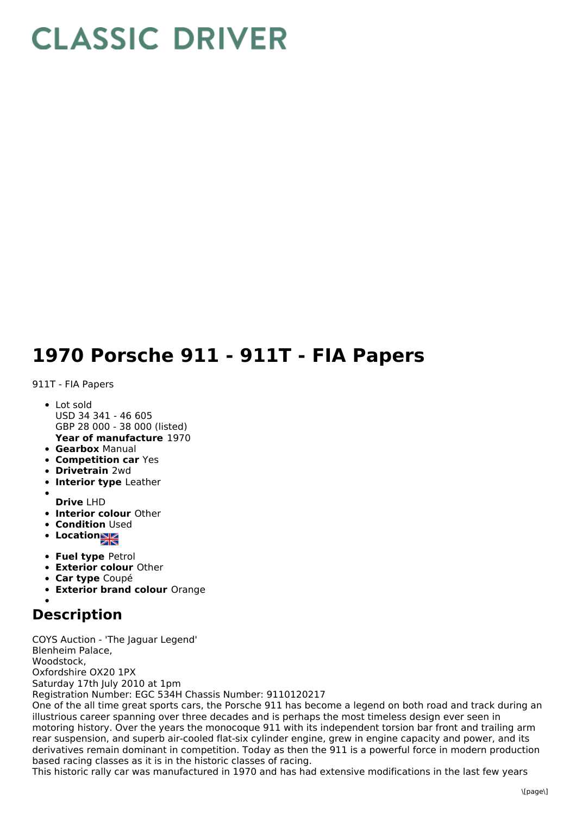## **CLASSIC DRIVER**

## **1970 Porsche 911 - 911T - FIA Papers**

## 911T - FIA Papers

- **Year of manufacture** 1970 Lot sold USD 34 341 - 46 605 GBP 28 000 - 38 000 (listed)
- **Gearbox** Manual
- **Competition car** Yes
- **Drivetrain** 2wd
- **Interior type** Leather
- **Drive** LHD
- **Interior colour** Other
- **Condition Used**
- Location<sub>ak</sub>
- **Fuel type** Petrol
- **Exterior colour** Other
- **Car type** Coupé
- **Exterior brand colour** Orange

## **Description**

COYS Auction - 'The Jaguar Legend' Blenheim Palace, Woodstock, Oxfordshire OX20 1PX Saturday 17th July 2010 at 1pm Registration Number: EGC 534H Chassis Number: 9110120217 One of the all time great sports cars, the Porsche 911 has become a legend on both road and track during an illustrious career spanning over three decades and is perhaps the most timeless design ever seen in motoring history. Over the years the monocoque 911 with its independent torsion bar front and trailing arm rear suspension, and superb air-cooled flat-six cylinder engine, grew in engine capacity and power, and its derivatives remain dominant in competition. Today as then the 911 is a powerful force in modern production based racing classes as it is in the historic classes of racing.

This historic rally car was manufactured in 1970 and has had extensive modifications in the last few years